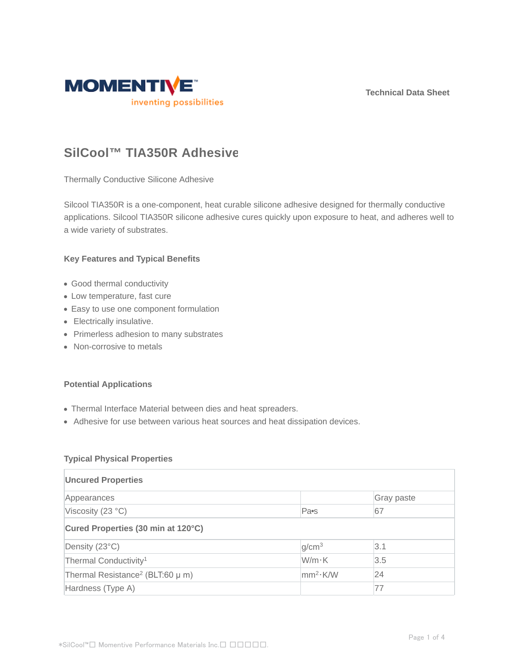**Technical Data Sheet**



# **SilCool™ TIA350R Adhesive**

Thermally Conductive Silicone Adhesive

Silcool TIA350R is a one-component, heat curable silicone adhesive designed for thermally conductive applications. Silcool TIA350R silicone adhesive cures quickly upon exposure to heat, and adheres well to a wide variety of substrates.

#### **Key Features and Typical Benefits**

- Good thermal conductivity
- Low temperature, fast cure
- Easy to use one component formulation
- Electrically insulative.
- Primerless adhesion to many substrates
- Non-corrosive to metals

#### **Potential Applications**

- Thermal Interface Material between dies and heat spreaders.
- Adhesive for use between various heat sources and heat dissipation devices.

#### **Typical Physical Properties**

| <b>Uncured Properties</b>                        |                      |            |  |  |  |
|--------------------------------------------------|----------------------|------------|--|--|--|
| Appearances                                      |                      | Gray paste |  |  |  |
| Viscosity (23 °C)                                | Pa <sub>s</sub>      | 67         |  |  |  |
| Cured Properties (30 min at 120°C)               |                      |            |  |  |  |
| Density (23°C)                                   | g/cm <sup>3</sup>    | 3.1        |  |  |  |
| Thermal Conductivity <sup>1</sup>                | W/m·K                | 3.5        |  |  |  |
| Thermal Resistance <sup>2</sup> (BLT:60 $\mu$ m) | mm <sup>2</sup> ·K/W | 24         |  |  |  |
| Hardness (Type A)                                |                      | 77         |  |  |  |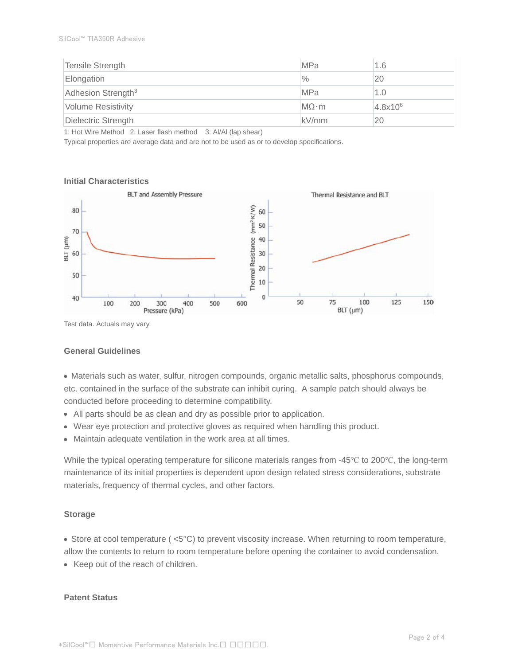| Tensile Strength               | <b>MPa</b>   | 1.6          |
|--------------------------------|--------------|--------------|
| Elongation                     | $\%$         | 20           |
| Adhesion Strength <sup>3</sup> | <b>MPa</b>   | 1.0          |
| <b>Volume Resistivity</b>      | $MO \cdot m$ | $4.8x10^{6}$ |
| Dielectric Strength            | kV/mm        | 20           |

1: Hot Wire Method 2: Laser flash method 3: Al/Al (lap shear)

Typical properties are average data and are not to be used as or to develop specifications.

#### **Initial Characteristics**



Test data. Actuals may vary.

#### **General Guidelines**

Materials such as water, sulfur, nitrogen compounds, organic metallic salts, phosphorus compounds, etc. contained in the surface of the substrate can inhibit curing. A sample patch should always be conducted before proceeding to determine compatibility.

- All parts should be as clean and dry as possible prior to application.
- Wear eye protection and protective gloves as required when handling this product.
- Maintain adequate ventilation in the work area at all times.

While the typical operating temperature for silicone materials ranges from -45°C to 200°C, the long-term maintenance of its initial properties is dependent upon design related stress considerations, substrate materials, frequency of thermal cycles, and other factors.

#### **Storage**

Store at cool temperature ( <5°C) to prevent viscosity increase. When returning to room temperature,

allow the contents to return to room temperature before opening the container to avoid condensation.

• Keep out of the reach of children.

#### **Patent Status**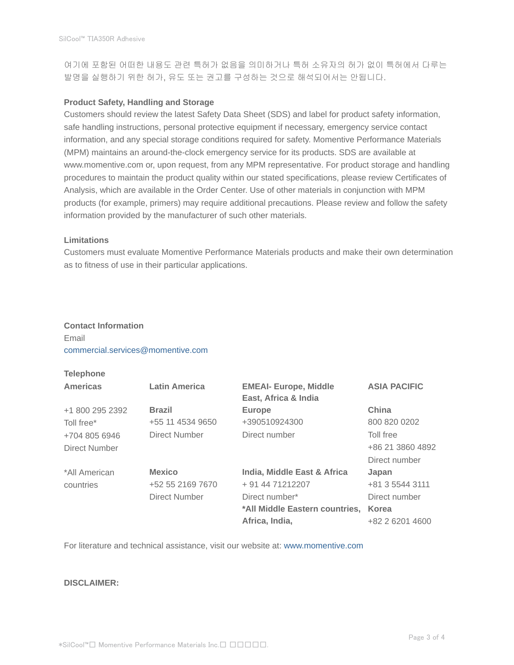여기에 포함된 어떠한 내용도 관련 특허가 없음을 의미하거나 특허 소유자의 허가 없이 특허에서 다루는 발명을 실행하기 위한 허가, 유도 또는 권고를 구성하는 것으로 해석되어서는 안됩니다.

#### **Product Safety, Handling and Storage**

Customers should review the latest Safety Data Sheet (SDS) and label for product safety information, safe handling instructions, personal protective equipment if necessary, emergency service contact information, and any special storage conditions required for safety. Momentive Performance Materials (MPM) maintains an around-the-clock emergency service for its products. SDS are available at www.momentive.com or, upon request, from any MPM representative. For product storage and handling procedures to maintain the product quality within our stated specifications, please review Certificates of Analysis, which are available in the Order Center. Use of other materials in conjunction with MPM products (for example, primers) may require additional precautions. Please review and follow the safety information provided by the manufacturer of such other materials.

#### **Limitations**

Customers must evaluate Momentive Performance Materials products and make their own determination as to fitness of use in their particular applications.

### **Contact Information** Email commercial.services@momentive.com

## **Telephone**

| <b>Americas</b> | <b>Latin America</b> | <b>EMEAI- Europe, Middle</b><br>East, Africa & India | <b>ASIA PACIFIC</b> |
|-----------------|----------------------|------------------------------------------------------|---------------------|
| +1 800 295 2392 | <b>Brazil</b>        | <b>Europe</b>                                        | China               |
| Toll free*      | +55 11 4534 9650     | +390510924300                                        | 800 820 0202        |
| +704 805 6946   | Direct Number        | Direct number                                        | Toll free           |
| Direct Number   |                      |                                                      | +86 21 3860 4892    |
|                 |                      |                                                      | Direct number       |
| *All American   | <b>Mexico</b>        | India, Middle East & Africa                          | Japan               |
| countries       | +52 55 2169 7670     | + 91 44 71212207                                     | +81 3 5544 3111     |
|                 | Direct Number        | Direct number*                                       | Direct number       |
|                 |                      | *All Middle Eastern countries,                       | Korea               |
|                 |                      | Africa, India,                                       | +82 2 6201 4600     |

For literature and technical assistance, visit our website at: www.momentive.com

#### **DISCLAIMER:**